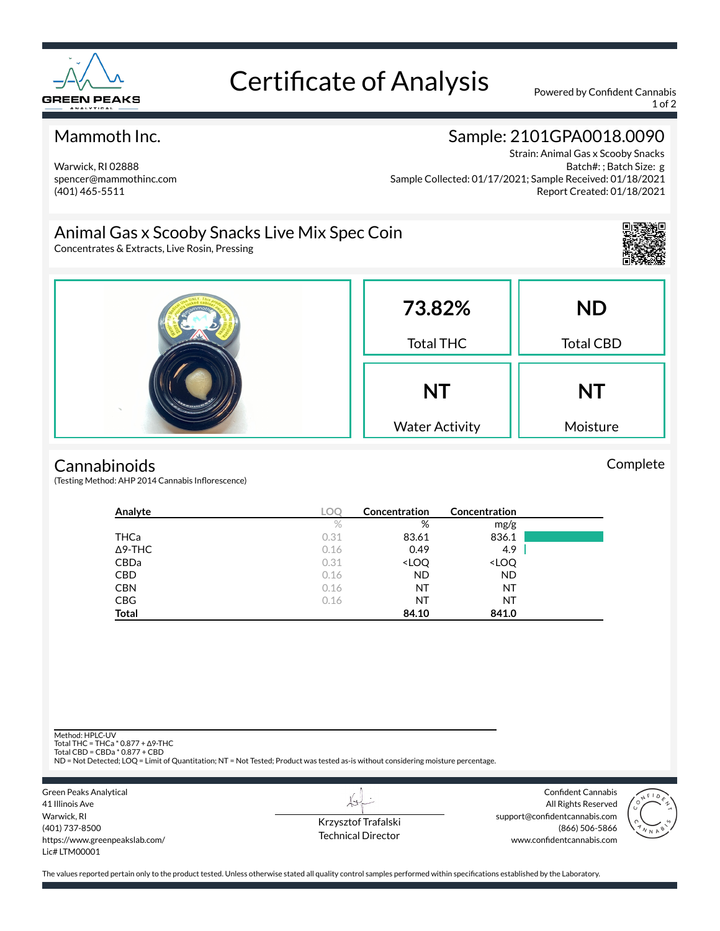

# Certificate of Analysis Powered by Confident Cannabis

1 of 2

#### Mammoth Inc.

Warwick, RI 02888 spencer@mammothinc.com (401) 465-5511

## Sample: 2101GPA0018.0090

Strain: Animal Gas x Scooby Snacks Batch#: ; Batch Size: g Sample Collected: 01/17/2021; Sample Received: 01/18/2021 Report Created: 01/18/2021

## Animal Gas x Scooby Snacks Live Mix Spec Coin

Concentrates & Extracts, Live Rosin, Pressing



Complete



#### **Cannabinoids**

(Testing Method: AHP 2014 Cannabis Inflorescence)

| Analyte        | LOC  | Concentration                                            | <b>Concentration</b>         |  |
|----------------|------|----------------------------------------------------------|------------------------------|--|
|                | $\%$ | %                                                        | mg/g                         |  |
| THCa           | 0.31 | 83.61                                                    | 836.1                        |  |
| $\Delta$ 9-THC | 0.16 | 0.49                                                     | 4.9                          |  |
| <b>CBDa</b>    | 0.31 | <loq< td=""><td><loq< td=""><td></td></loq<></td></loq<> | <loq< td=""><td></td></loq<> |  |
| <b>CBD</b>     | 0.16 | <b>ND</b>                                                | <b>ND</b>                    |  |
| <b>CBN</b>     | 0.16 | NT                                                       | NT                           |  |
| <b>CBG</b>     | 0.16 | NT                                                       | NT                           |  |
| <b>Total</b>   |      | 84.10                                                    | 841.0                        |  |

Method: HPLC-UV

Total THC = THCa \* 0.877 + ∆9-THC Total CBD = CBDa \* 0.877 + CBD

ND = Not Detected; LOQ = Limit of Quantitation; NT = Not Tested; Product was tested as-is without considering moisture percentage.

Green Peaks Analytical 41 Illinois Ave Warwick, RI (401) 737-8500 https://www.greenpeakslab.com/ Lic# LTM00001

Krzysztof Trafalski Technical Director

L+

Confident Cannabis All Rights Reserved support@confidentcannabis.com (866) 506-5866 www.confidentcannabis.com



The values reported pertain only to the product tested. Unless otherwise stated all quality control samples performed within specifications established by the Laboratory.